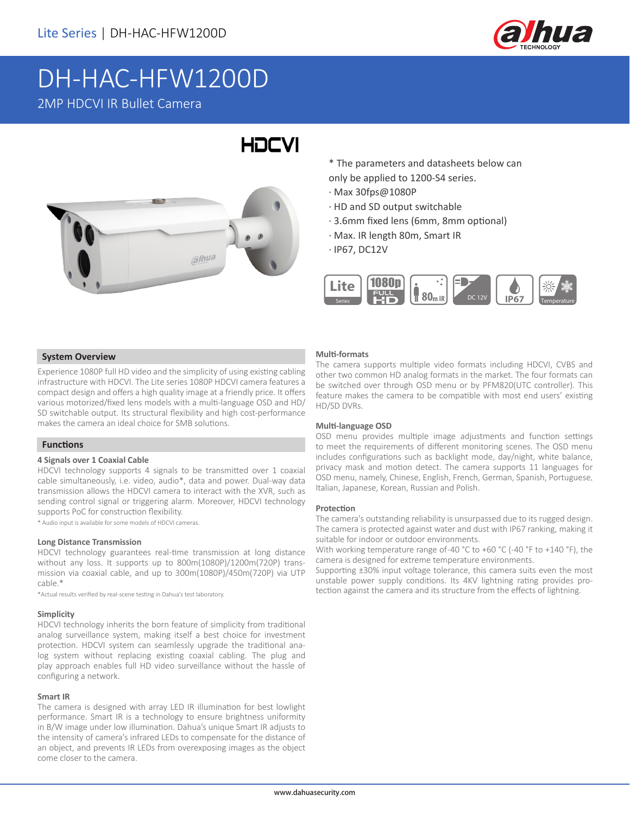

# DH-HAC-HFW1200D 2MP HDCVI IR Bullet Camera

# HOCVI



\* The parameters and datasheets below can only be applied to 1200-S4 series.

- · Max 30fps@1080P
- · HD and SD output switchable
- · 3.6mm fixed lens (6mm, 8mm optional)
- · Max. IR length 80m, Smart IR
- · IP67, DC12V



### **System Overview**

Experience 1080P full HD video and the simplicity of using existing cabling infrastructure with HDCVI. The Lite series 1080P HDCVI camera features a compact design and offers a high quality image at a friendly price. It offers various motorized/fixed lens models with a multi-language OSD and HD/ SD switchable output. Its structural flexibility and high cost-performance makes the camera an ideal choice for SMB solutions.

#### **Functions**

#### **4 Signals over 1 Coaxial Cable**

HDCVI technology supports 4 signals to be transmitted over 1 coaxial cable simultaneously, i.e. video, audio\*, data and power. Dual-way data transmission allows the HDCVI camera to interact with the XVR, such as sending control signal or triggering alarm. Moreover, HDCVI technology supports PoC for construction flexibility.

\* Audio input is available for some models of HDCVI cameras.

#### **Long Distance Transmission**

HDCVI technology guarantees real-time transmission at long distance without any loss. It supports up to 800m(1080P)/1200m(720P) transmission via coaxial cable, and up to 300m(1080P)/450m(720P) via UTP cable.\*

\*Actual results verified by real-scene testing in Dahua's test laboratory.

#### **Simplicity**

HDCVI technology inherits the born feature of simplicity from traditional analog surveillance system, making itself a best choice for investment protection. HDCVI system can seamlessly upgrade the traditional analog system without replacing existing coaxial cabling. The plug and play approach enables full HD video surveillance without the hassle of configuring a network.

#### **Smart IR**

The camera is designed with array LED IR illumination for best lowlight performance. Smart IR is a technology to ensure brightness uniformity in B/W image under low illumination. Dahua's unique Smart IR adjusts to the intensity of camera's infrared LEDs to compensate for the distance of an object, and prevents IR LEDs from overexposing images as the object come closer to the camera.

#### **Multi-formats**

The camera supports multiple video formats including HDCVI, CVBS and other two common HD analog formats in the market. The four formats can be switched over through OSD menu or by PFM820(UTC controller). This feature makes the camera to be compatible with most end users' existing HD/SD DVRs.

#### **Multi-language OSD**

OSD menu provides multiple image adjustments and function settings to meet the requirements of different monitoring scenes. The OSD menu includes configurations such as backlight mode, day/night, white balance, privacy mask and motion detect. The camera supports 11 languages for OSD menu, namely, Chinese, English, French, German, Spanish, Portuguese, Italian, Japanese, Korean, Russian and Polish.

#### **Protection**

The camera's outstanding reliability is unsurpassed due to its rugged design. The camera is protected against water and dust with IP67 ranking, making it suitable for indoor or outdoor environments.

With working temperature range of-40 °C to +60 °C (-40 °F to +140 °F), the camera is designed for extreme temperature environments.

Supporting ±30% input voltage tolerance, this camera suits even the most unstable power supply conditions. Its 4KV lightning rating provides protection against the camera and its structure from the effects of lightning.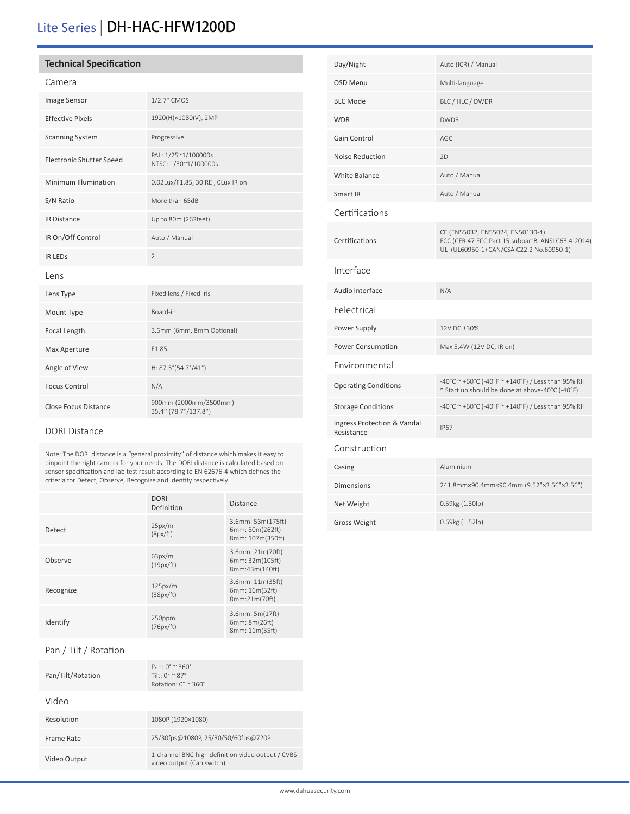# Lite Series | DH-HAC-HFW1200D

### **Technical Specification**

| Image Sensor                    | 1/2.7" CMOS                                   |
|---------------------------------|-----------------------------------------------|
| <b>Effective Pixels</b>         | 1920(H)×1080(V), 2MP                          |
| <b>Scanning System</b>          | Progressive                                   |
| <b>Electronic Shutter Speed</b> | PAL: 1/25~1/100000s<br>NTSC: 1/30~1/100000s   |
| Minimum Illumination            | 0.02Lux/F1.85, 30IRE, 0Lux IR on              |
| S/N Ratio                       | More than 65dB                                |
| <b>IR Distance</b>              | Up to 80m (262feet)                           |
| IR On/Off Control               | Auto / Manual                                 |
| <b>IR LEDS</b>                  | $\overline{2}$                                |
| Lens                            |                                               |
| Lens Type                       | Fixed lens / Fixed iris                       |
| Mount Type                      | Board-in                                      |
| Focal Length                    | 3.6mm (6mm, 8mm Optional)                     |
| Max Aperture                    | F1.85                                         |
| Angle of View                   | H: 87.5°(54.7°/41°)                           |
| <b>Focus Control</b>            | N/A                                           |
| <b>Close Focus Distance</b>     | 900mm (2000mm/3500mm)<br>35.4" (78.7"/137.8") |

#### DORI Distance

Note: The DORI distance is a "general proximity" of distance which makes it easy to pinpoint the right camera for your needs. The DORI distance is calculated based on sensor specification and lab test result according to EN 62676-4 which defines the criteria for Detect, Observe, Recognize and Identify respectively.

|           | <b>DORI</b><br>Definition | <b>Distance</b>                                                |
|-----------|---------------------------|----------------------------------------------------------------|
| Detect    | 25px/m<br>(8px/ft)        | $3.6$ mm: 53m $(175ft)$<br>6mm: 80m(262ft)<br>8mm: 107m(350ft) |
| Observe   | 63px/m<br>(19px/ft)       | 3.6mm: 21m(70ft)<br>6mm: 32m(105ft)<br>8mm:43m(140ft)          |
| Recognize | 125px/m<br>(38px/ft)      | $3.6$ mm: $11m(35ft)$<br>6mm: 16m(52ft)<br>8mm:21m(70ft)       |
| Identify  | 250ppm<br>(76px/ft)       | $3.6$ mm: $5m(17ft)$<br>6mm: 8m(26ft)<br>8mm: 11m(35ft)        |
|           |                           |                                                                |

## Pan / Tilt / Rotation

| Pan/Tilt/Rotation | Pan: $0^{\circ} \approx 360^{\circ}$<br>Tilt: $0^{\circ}$ $\sim$ 87 $^{\circ}$<br>Rotation: $0^\circ \approx 360^\circ$ |
|-------------------|-------------------------------------------------------------------------------------------------------------------------|
| Video             |                                                                                                                         |
| Resolution        | 1080P (1920×1080)                                                                                                       |
| Frame Rate        | 25/30fps@1080P, 25/30/50/60fps@720P                                                                                     |
| Video Output      | 1-channel BNC high definition video output / CVBS<br>video output (Can switch)                                          |

| Day/Night                                 | Auto (ICR) / Manual                                                                                                               |
|-------------------------------------------|-----------------------------------------------------------------------------------------------------------------------------------|
| <b>OSD Menu</b>                           | Multi-language                                                                                                                    |
| <b>BLC Mode</b>                           | BLC / HLC / DWDR                                                                                                                  |
| <b>WDR</b>                                | <b>DWDR</b>                                                                                                                       |
| <b>Gain Control</b>                       | AGC                                                                                                                               |
| <b>Noise Reduction</b>                    | 2D                                                                                                                                |
| <b>White Balance</b>                      | Auto / Manual                                                                                                                     |
| Smart IR                                  | Auto / Manual                                                                                                                     |
| Certifications                            |                                                                                                                                   |
| Certifications                            | CE (EN55032, EN55024, EN50130-4)<br>FCC (CFR 47 FCC Part 15 subpartB, ANSI C63.4-2014)<br>UL (UL60950-1+CAN/CSA C22.2 No.60950-1) |
| Interface                                 |                                                                                                                                   |
| Audio Interface                           | N/A                                                                                                                               |
| Eelectrical                               |                                                                                                                                   |
| Power Supply                              | 12V DC ±30%                                                                                                                       |
| Power Consumption                         | Max 5.4W (12V DC, IR on)                                                                                                          |
| Environmental                             |                                                                                                                                   |
| <b>Operating Conditions</b>               | -40°C ~ +60°C (-40°F ~ +140°F) / Less than 95% RH<br>* Start up should be done at above-40°C (-40°F)                              |
| <b>Storage Conditions</b>                 | -40°C ~ +60°C (-40°F ~ +140°F) / Less than 95% RH                                                                                 |
| Ingress Protection & Vandal<br>Resistance | <b>IP67</b>                                                                                                                       |
| Construction                              |                                                                                                                                   |
| Casing                                    | Aluminium                                                                                                                         |
| <b>Dimensions</b>                         | 241.8mm×90.4mm×90.4mm (9.52"×3.56"×3.56")                                                                                         |
| Net Weight                                | 0.59kg (1.30lb)                                                                                                                   |
| <b>Gross Weight</b>                       | 0.69kg (1.52lb)                                                                                                                   |